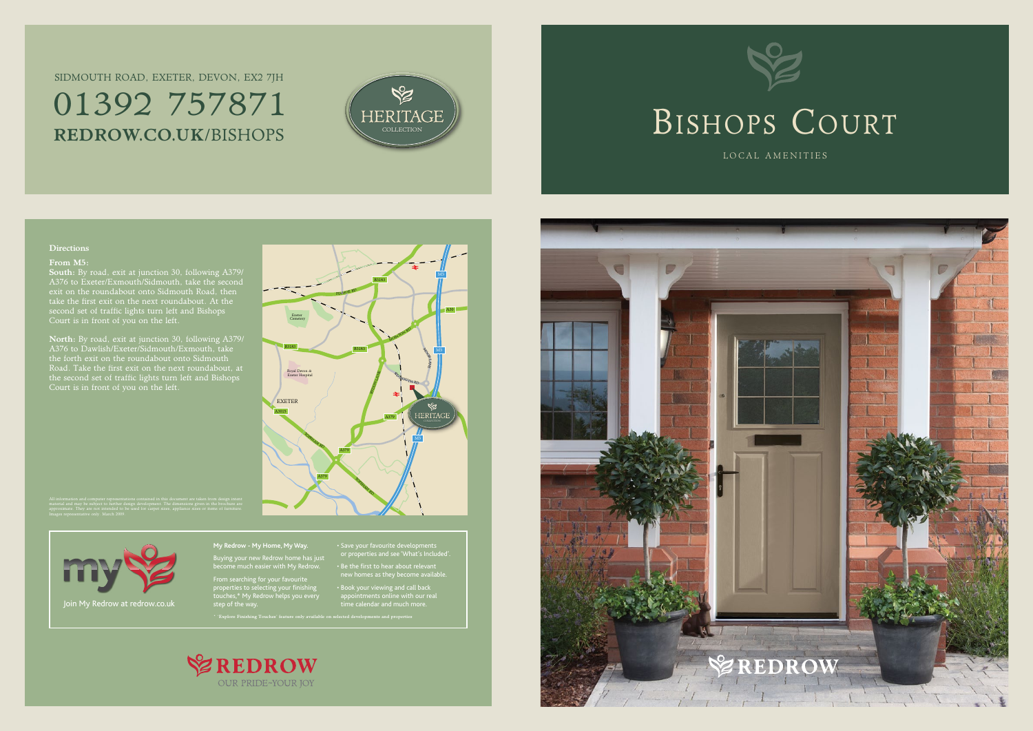#### M5 B3183 <sup>P</sup>INHO<sup>E</sup> <sup>R</sup><sup>D</sup> A30 Exeter **Cemetery** HOINTO<sup>N</sup> <sup>R</sup><sup>D</sup> B3183 B3183 MOOR M5 LANE Royal Devon & Exeter Hospital RYDON LANE **SID MOUTH RD** EXETER A3015 HERITAG A379 <sup>T</sup>OPSHA<sup>M</sup> <sup>R</sup><sup>D</sup> M5 A379 A379 <sup>T</sup>OPSHA<sup>M</sup> <sup>R</sup><sup>D</sup>

#### Directions

#### From M5:

South: By road, exit at junction 30, following A379/ A376 to Exeter/Exmouth/Sidmouth, take the second exit on the roundabout onto Sidmouth Road, then take the first exit on the next roundabout. At the second set of traffic lights turn left and Bishops Court is in front of you on the left.

## Sidmouth Road, Exeter, Devon, EX2 7JH 01392 757871 REDROW.CO.UK/BISHOPS COLLECTION



North: By road, exit at junction 30, following A379/ A376 to Dawlish/Exeter/Sidmouth/Exmouth, take the forth exit on the roundabout onto Sidmouth Road. Take the first exit on the next roundabout, at the second set of traffic lights turn left and Bishops Court is in front of you on the left.

> **My Redrow - My Home, My Way.** Buying your new Redrow home has just become much easier with My Redrow.

From searching for your favourite properties to selecting your finishing touches,\* My Redrow helps you every or properties and see 'What's Included'.

• Be the first to hear about relevant new homes as they become available.

• Book your viewing and call back appointments online with our real





\* 'Explore Finishing Touches' feature only available on selected developments and properties





LOCAL AMENITIES